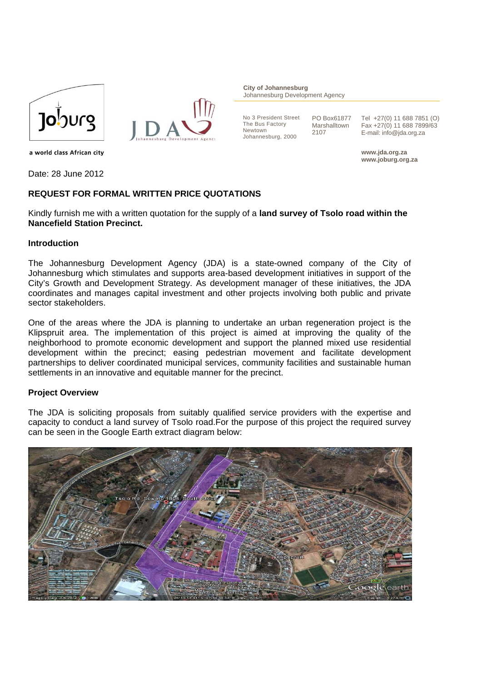



**City of Johannesburg** Johannesburg Development Agency

No 3 President Street The Bus Factory Newtown Johannesburg, 2000

PO Box61877 Marshalltown 2107

Tel +27(0) 11 688 7851 (O) Fax +27(0) 11 688 7899/63 E-mail: info@jda.org.za

**www.jda.org.za www.joburg.org.za** 

a world class African city

Date: 28 June 2012

### **REQUEST FOR FORMAL WRITTEN PRICE QUOTATIONS**

Kindly furnish me with a written quotation for the supply of a **land survey of Tsolo road within the Nancefield Station Precinct.** 

#### **Introduction**

The Johannesburg Development Agency (JDA) is a state-owned company of the City of Johannesburg which stimulates and supports area-based development initiatives in support of the City's Growth and Development Strategy. As development manager of these initiatives, the JDA coordinates and manages capital investment and other projects involving both public and private sector stakeholders.

One of the areas where the JDA is planning to undertake an urban regeneration project is the Klipspruit area. The implementation of this project is aimed at improving the quality of the neighborhood to promote economic development and support the planned mixed use residential development within the precinct; easing pedestrian movement and facilitate development partnerships to deliver coordinated municipal services, community facilities and sustainable human settlements in an innovative and equitable manner for the precinct.

#### **Project Overview**

The JDA is soliciting proposals from suitably qualified service providers with the expertise and capacity to conduct a land survey of Tsolo road.For the purpose of this project the required survey can be seen in the Google Earth extract diagram below:

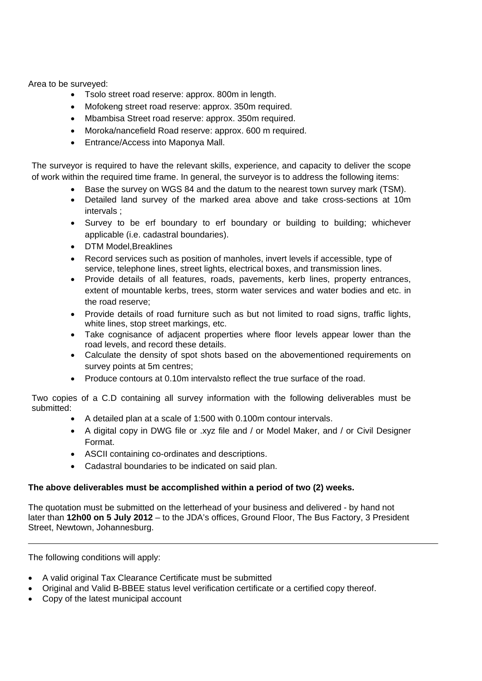Area to be surveyed:

- Tsolo street road reserve: approx. 800m in length.
- Mofokeng street road reserve: approx. 350m required.
- Mbambisa Street road reserve: approx. 350m required.
- Moroka/nancefield Road reserve: approx. 600 m required.
- Entrance/Access into Maponya Mall.

The surveyor is required to have the relevant skills, experience, and capacity to deliver the scope of work within the required time frame. In general, the surveyor is to address the following items:

- Base the survey on WGS 84 and the datum to the nearest town survey mark (TSM).
- Detailed land survey of the marked area above and take cross-sections at 10m intervals ;
- Survey to be erf boundary to erf boundary or building to building; whichever applicable (i.e. cadastral boundaries).
- DTM Model,Breaklines
- Record services such as position of manholes, invert levels if accessible, type of service, telephone lines, street lights, electrical boxes, and transmission lines.
- Provide details of all features, roads, pavements, kerb lines, property entrances, extent of mountable kerbs, trees, storm water services and water bodies and etc. in the road reserve;
- Provide details of road furniture such as but not limited to road signs, traffic lights, white lines, stop street markings, etc.
- Take cognisance of adjacent properties where floor levels appear lower than the road levels, and record these details.
- Calculate the density of spot shots based on the abovementioned requirements on survey points at 5m centres;
- Produce contours at 0.10m intervalsto reflect the true surface of the road.

Two copies of a C.D containing all survey information with the following deliverables must be submitted:

- A detailed plan at a scale of 1:500 with 0.100m contour intervals.
- A digital copy in DWG file or .xyz file and / or Model Maker, and / or Civil Designer Format.
- ASCII containing co-ordinates and descriptions.
- Cadastral boundaries to be indicated on said plan.

# **The above deliverables must be accomplished within a period of two (2) weeks.**

The quotation must be submitted on the letterhead of your business and delivered - by hand not later than **12h00 on 5 July 2012** – to the JDA's offices, Ground Floor, The Bus Factory, 3 President Street, Newtown, Johannesburg.

The following conditions will apply:

- A valid original Tax Clearance Certificate must be submitted
- Original and Valid B-BBEE status level verification certificate or a certified copy thereof.
- Copy of the latest municipal account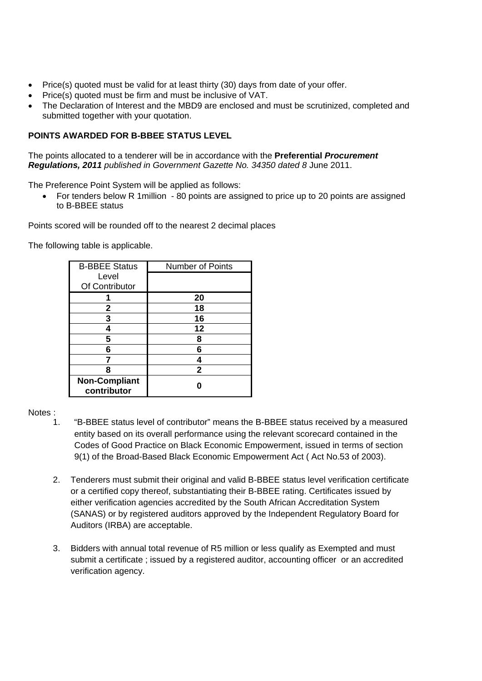- Price(s) quoted must be valid for at least thirty (30) days from date of your offer.
- Price(s) quoted must be firm and must be inclusive of VAT.
- The Declaration of Interest and the MBD9 are enclosed and must be scrutinized, completed and submitted together with your quotation.

# **POINTS AWARDED FOR B-BBEE STATUS LEVEL**

The points allocated to a tenderer will be in accordance with the **Preferential** *Procurement Regulations, 2011 published in Government Gazette No. 34350 dated 8* June 2011.

The Preference Point System will be applied as follows:

• For tenders below R 1million - 80 points are assigned to price up to 20 points are assigned to B-BBEE status

Points scored will be rounded off to the nearest 2 decimal places

The following table is applicable.

| <b>B-BBEE Status</b> | <b>Number of Points</b> |  |
|----------------------|-------------------------|--|
| Level                |                         |  |
| Of Contributor       |                         |  |
|                      | 20                      |  |
| 2                    | 18                      |  |
| 3                    | 16                      |  |
|                      | $12 \,$                 |  |
| 5                    | 8                       |  |
| 6                    | 6                       |  |
|                      |                         |  |
| 8                    | 2                       |  |
| <b>Non-Compliant</b> |                         |  |
| contributor          |                         |  |

# Notes :

- 1. "B-BBEE status level of contributor" means the B-BBEE status received by a measured entity based on its overall performance using the relevant scorecard contained in the Codes of Good Practice on Black Economic Empowerment, issued in terms of section 9(1) of the Broad-Based Black Economic Empowerment Act ( Act No.53 of 2003).
- 2. Tenderers must submit their original and valid B-BBEE status level verification certificate or a certified copy thereof, substantiating their B-BBEE rating. Certificates issued by either verification agencies accredited by the South African Accreditation System (SANAS) or by registered auditors approved by the Independent Regulatory Board for Auditors (IRBA) are acceptable.
- 3. Bidders with annual total revenue of R5 million or less qualify as Exempted and must submit a certificate ; issued by a registered auditor, accounting officer or an accredited verification agency.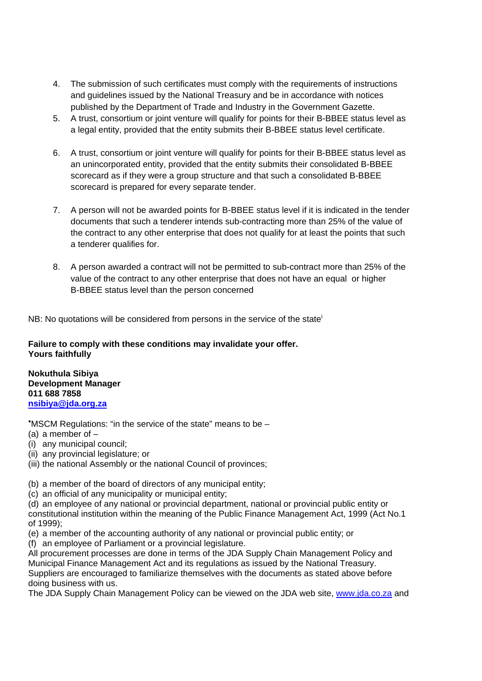- 4. The submission of such certificates must comply with the requirements of instructions and guidelines issued by the National Treasury and be in accordance with notices published by the Department of Trade and Industry in the Government Gazette.
- 5. A trust, consortium or joint venture will qualify for points for their B-BBEE status level as a legal entity, provided that the entity submits their B-BBEE status level certificate.
- 6. A trust, consortium or joint venture will qualify for points for their B-BBEE status level as an unincorporated entity, provided that the entity submits their consolidated B-BBEE scorecard as if they were a group structure and that such a consolidated B-BBEE scorecard is prepared for every separate tender.
- 7. A person will not be awarded points for B-BBEE status level if it is indicated in the tender documents that such a tenderer intends sub-contracting more than 25% of the value of the contract to any other enterprise that does not qualify for at least the points that such a tenderer qualifies for.
- 8. A person awarded a contract will not be permitted to sub-contract more than 25% of the value of the contract to any other enterprise that does not have an equal or higher B-BBEE status level than the person concerned

NB: No quotations will be considered from persons in the service of the state<sup>i</sup>

**Failure to comply with these conditions may invalidate your offer. Yours faithfully** 

**Nokuthula Sibiya Development Manager 011 688 7858 nsibiya@jda.org.za**

∗ MSCM Regulations: "in the service of the state" means to be –

(a) a member of –

(i) any municipal council;

(ii) any provincial legislature; or

(iii) the national Assembly or the national Council of provinces;

(b) a member of the board of directors of any municipal entity;

(c) an official of any municipality or municipal entity;

(d) an employee of any national or provincial department, national or provincial public entity or constitutional institution within the meaning of the Public Finance Management Act, 1999 (Act No.1 of 1999);

(e) a member of the accounting authority of any national or provincial public entity; or

(f) an employee of Parliament or a provincial legislature.

All procurement processes are done in terms of the JDA Supply Chain Management Policy and Municipal Finance Management Act and its regulations as issued by the National Treasury. Suppliers are encouraged to familiarize themselves with the documents as stated above before doing business with us.

The JDA Supply Chain Management Policy can be viewed on the JDA web site, www.jda.co.za and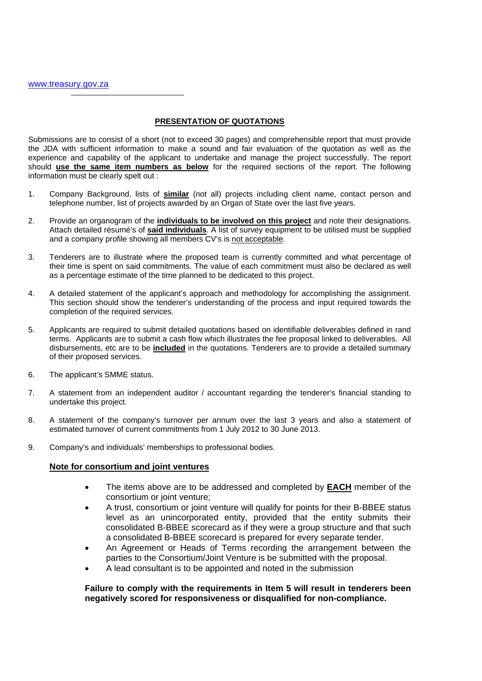#### **PRESENTATION OF QUOTATIONS**

Submissions are to consist of a short (not to exceed 30 pages) and comprehensible report that must provide the JDA with sufficient information to make a sound and fair evaluation of the quotation as well as the experience and capability of the applicant to undertake and manage the project successfully. The report should **use the same item numbers as below** for the required sections of the report. The following information must be clearly spelt out :

- 1. Company Background, lists of **similar** (not all) projects including client name, contact person and telephone number, list of projects awarded by an Organ of State over the last five years.
- 2. Provide an organogram of the **individuals to be involved on this project** and note their designations. Attach detailed résumé's of **said individuals**. A list of survey equipment to be utilised must be supplied and a company profile showing all members CV's is not acceptable.
- 3. Tenderers are to illustrate where the proposed team is currently committed and what percentage of their time is spent on said commitments. The value of each commitment must also be declared as well as a percentage estimate of the time planned to be dedicated to this project.
- 4. A detailed statement of the applicant's approach and methodology for accomplishing the assignment. This section should show the tenderer's understanding of the process and input required towards the completion of the required services.
- 5. Applicants are required to submit detailed quotations based on identifiable deliverables defined in rand terms. Applicants are to submit a cash flow which illustrates the fee proposal linked to deliverables. All disbursements, etc are to be **included** in the quotations. Tenderers are to provide a detailed summary of their proposed services.
- 6. The applicant's SMME status.
- 7. A statement from an independent auditor / accountant regarding the tenderer's financial standing to undertake this project.
- 8. A statement of the company's turnover per annum over the last 3 years and also a statement of estimated turnover of current commitments from 1 July 2012 to 30 June 2013.
- 9. Company's and individuals' memberships to professional bodies.

#### **Note for consortium and joint ventures**

- The items above are to be addressed and completed by **EACH** member of the consortium or joint venture;
- A trust, consortium or joint venture will qualify for points for their B-BBEE status level as an unincorporated entity, provided that the entity submits their consolidated B-BBEE scorecard as if they were a group structure and that such a consolidated B-BBEE scorecard is prepared for every separate tender.
- An Agreement or Heads of Terms recording the arrangement between the parties to the Consortium/Joint Venture is be submitted with the proposal.
- A lead consultant is to be appointed and noted in the submission

#### **Failure to comply with the requirements in Item 5 will result in tenderers been negatively scored for responsiveness or disqualified for non-compliance.**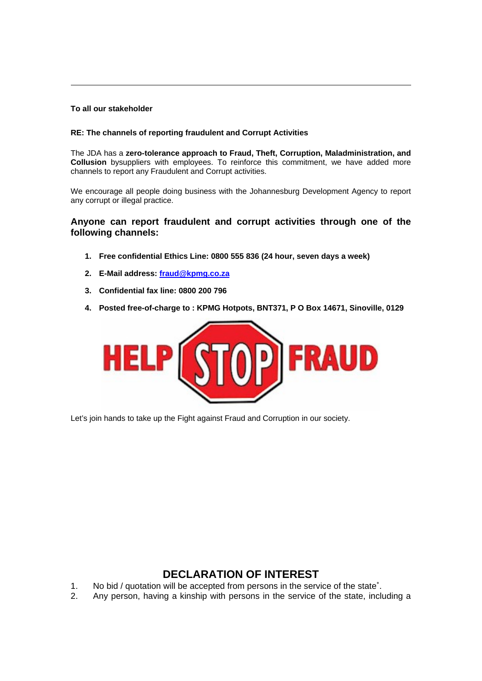#### **To all our stakeholder**

1

#### **RE: The channels of reporting fraudulent and Corrupt Activities**

The JDA has a **zero-tolerance approach to Fraud, Theft, Corruption, Maladministration, and Collusion** bysuppliers with employees. To reinforce this commitment, we have added more channels to report any Fraudulent and Corrupt activities.

We encourage all people doing business with the Johannesburg Development Agency to report any corrupt or illegal practice.

# **Anyone can report fraudulent and corrupt activities through one of the following channels:**

- **1. Free confidential Ethics Line: 0800 555 836 (24 hour, seven days a week)**
- **2. E-Mail address: fraud@kpmg.co.za**
- **3. Confidential fax line: 0800 200 796**
- **4. Posted free-of-charge to : KPMG Hotpots, BNT371, P O Box 14671, Sinoville, 0129**



Let's join hands to take up the Fight against Fraud and Corruption in our society.

# **DECLARATION OF INTEREST**

- 1. No bid / quotation will be accepted from persons in the service of the state<sup>\*</sup>.
- 2. Any person, having a kinship with persons in the service of the state, including a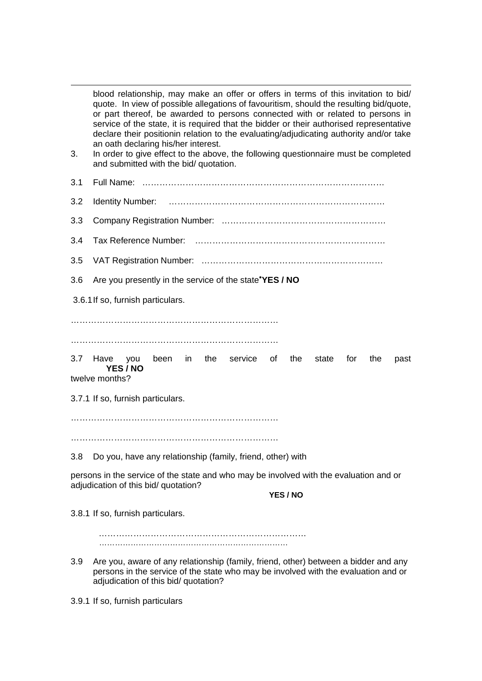1 blood relationship, may make an offer or offers in terms of this invitation to bid/ quote. In view of possible allegations of favouritism, should the resulting bid/quote, or part thereof, be awarded to persons connected with or related to persons in service of the state, it is required that the bidder or their authorised representative declare their positionin relation to the evaluating/adjudicating authority and/or take an oath declaring his/her interest. 3. In order to give effect to the above, the following questionnaire must be completed and submitted with the bid/ quotation. 3.1 Full Name: ………………………………………………………………………… 3.2 Identity Number: ………………………………………………………………… 3.3 Company Registration Number: ………………………………………………… 3.4 Tax Reference Number: ………………………………………………………… 3.5 VAT Registration Number: ……………………………………………………… 3.6 Are you presently in the service of the state<sup>∗</sup> **YES / NO**  3.6.1 If so, furnish particulars. ……………………………………………………………… ……………………………………………………………… 3.7 Have you been in the service of the state for the past **YES / NO**  twelve months? 3.7.1 If so, furnish particulars. ……………………………………………………………… ……………………………………………………………… 3.8 Do you, have any relationship (family, friend, other) with persons in the service of the state and who may be involved with the evaluation and or adiudication of this bid/ quotation? **YES / NO** 3.8.1 If so, furnish particulars. ……………………………………………………………… ……………………………………………………………… 3.9 Are you, aware of any relationship (family, friend, other) between a bidder and any persons in the service of the state who may be involved with the evaluation and or adjudication of this bid/ quotation?

3.9.1 If so, furnish particulars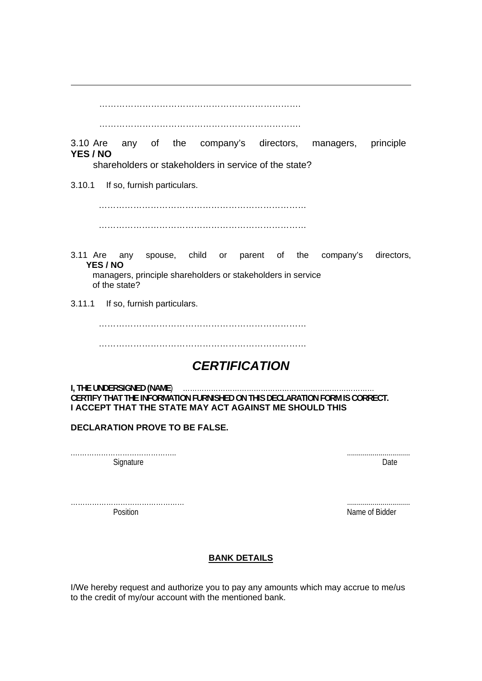…………………………………………………………….

…………………………………………………………….

3.10 Are any of the company's directors, managers, principle **YES / NO**

shareholders or stakeholders in service of the state?

3.10.1 If so, furnish particulars.

1

 ……………………………………………………………… ………………………………………………………………

- 3.11 Are any spouse, child or parent of the company's directors, **YES / NO** managers, principle shareholders or stakeholders in service of the state?
- 3.11.1 If so, furnish particulars.

………………………………………………………………

………………………………………………………………

# *CERTIFICATION*

**I, THE UNDERSIGNED (NAME**) ……………………………………………………………………… **CERTIFY THAT THE INFORMATION FURNISHED ON THIS DECLARATION FORM IS CORRECT. I ACCEPT THAT THE STATE MAY ACT AGAINST ME SHOULD THIS** 

# **DECLARATION PROVE TO BE FALSE.**

.…………………………………….. ................................ Signature Date Date of the Contract of the Contract of the Contract of the Date Date Date Date

………………………………………… ................................ Position **Name of Bidder Name of Bidder Name of Bidder** 

# **BANK DETAILS**

I/We hereby request and authorize you to pay any amounts which may accrue to me/us to the credit of my/our account with the mentioned bank.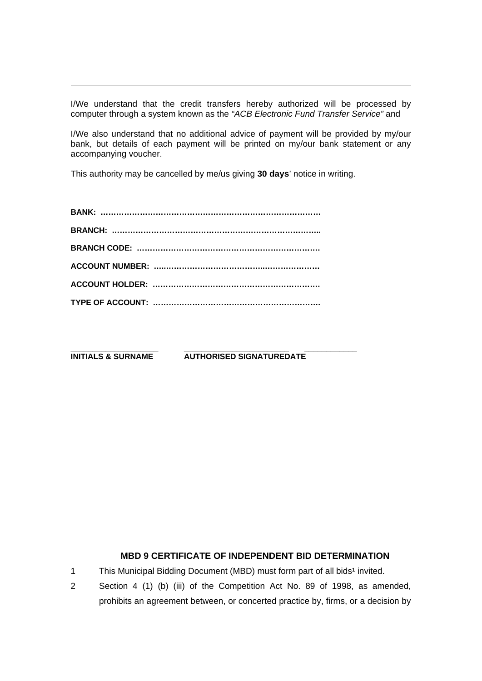I/We understand that the credit transfers hereby authorized will be processed by computer through a system known as the *"ACB Electronic Fund Transfer Service"* and

I/We also understand that no additional advice of payment will be provided by my/our bank, but details of each payment will be printed on my/our bank statement or any accompanying voucher.

This authority may be cancelled by me/us giving **30 days**' notice in writing.

1

**\_\_\_\_\_\_\_\_\_\_\_\_\_\_\_\_\_\_\_\_ \_\_\_\_\_\_\_\_\_\_\_\_\_\_\_\_\_\_\_\_\_\_\_\_ \_\_\_\_\_\_\_\_\_\_\_\_ INITIALS & SURNAME AUTHORISED SIGNATUREDATE** 

# **MBD 9 CERTIFICATE OF INDEPENDENT BID DETERMINATION**

1 This Municipal Bidding Document (MBD) must form part of all bids<sup>1</sup> invited.

2 Section 4 (1) (b) (iii) of the Competition Act No. 89 of 1998, as amended, prohibits an agreement between, or concerted practice by, firms, or a decision by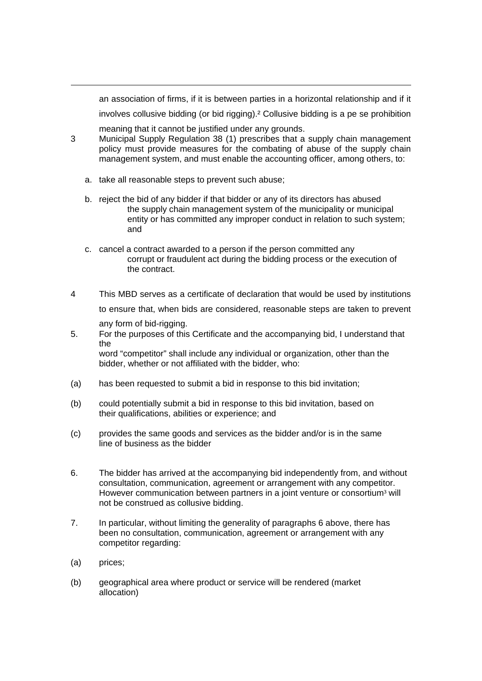an association of firms, if it is between parties in a horizontal relationship and if it involves collusive bidding (or bid rigging).² Collusive bidding is a pe se prohibition

meaning that it cannot be justified under any grounds.

- 3 Municipal Supply Regulation 38 (1) prescribes that a supply chain management policy must provide measures for the combating of abuse of the supply chain management system, and must enable the accounting officer, among others, to:
	- a. take all reasonable steps to prevent such abuse;
	- b. reject the bid of any bidder if that bidder or any of its directors has abused the supply chain management system of the municipality or municipal entity or has committed any improper conduct in relation to such system; and
	- c. cancel a contract awarded to a person if the person committed any corrupt or fraudulent act during the bidding process or the execution of the contract.
- 4 This MBD serves as a certificate of declaration that would be used by institutions to ensure that, when bids are considered, reasonable steps are taken to prevent any form of bid-rigging.
- 5. For the purposes of this Certificate and the accompanying bid, I understand that the word "competitor" shall include any individual or organization, other than the bidder, whether or not affiliated with the bidder, who:
- (a) has been requested to submit a bid in response to this bid invitation;
- (b) could potentially submit a bid in response to this bid invitation, based on their qualifications, abilities or experience; and
- (c) provides the same goods and services as the bidder and/or is in the same line of business as the bidder
- 6. The bidder has arrived at the accompanying bid independently from, and without consultation, communication, agreement or arrangement with any competitor. However communication between partners in a joint venture or consortium<sup>3</sup> will not be construed as collusive bidding.
- 7. In particular, without limiting the generality of paragraphs 6 above, there has been no consultation, communication, agreement or arrangement with any competitor regarding:
- (a) prices;

1

(b) geographical area where product or service will be rendered (market allocation)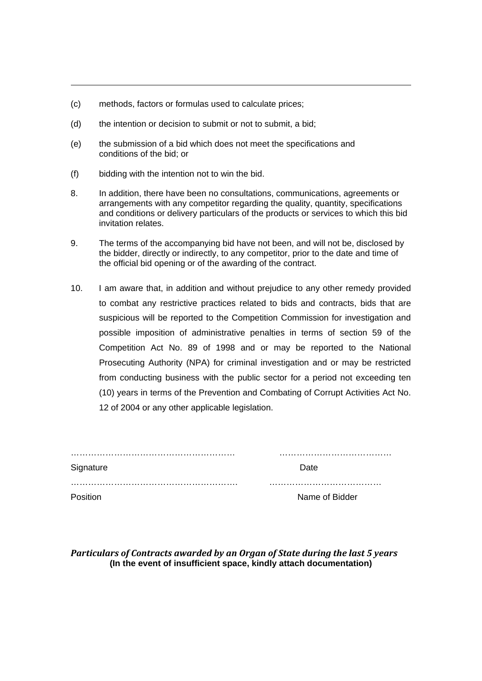- (c) methods, factors or formulas used to calculate prices;
- (d) the intention or decision to submit or not to submit, a bid;
- (e) the submission of a bid which does not meet the specifications and conditions of the bid; or
- (f) bidding with the intention not to win the bid.

1

- 8. In addition, there have been no consultations, communications, agreements or arrangements with any competitor regarding the quality, quantity, specifications and conditions or delivery particulars of the products or services to which this bid invitation relates.
- 9. The terms of the accompanying bid have not been, and will not be, disclosed by the bidder, directly or indirectly, to any competitor, prior to the date and time of the official bid opening or of the awarding of the contract.
- 10. I am aware that, in addition and without prejudice to any other remedy provided to combat any restrictive practices related to bids and contracts, bids that are suspicious will be reported to the Competition Commission for investigation and possible imposition of administrative penalties in terms of section 59 of the Competition Act No. 89 of 1998 and or may be reported to the National Prosecuting Authority (NPA) for criminal investigation and or may be restricted from conducting business with the public sector for a period not exceeding ten (10) years in terms of the Prevention and Combating of Corrupt Activities Act No. 12 of 2004 or any other applicable legislation.

| Signature | Date           |  |
|-----------|----------------|--|
|           |                |  |
| Position  | Name of Bidder |  |

*Particulars of Contracts awarded by an Organ of State during the last 5 years* **(In the event of insufficient space, kindly attach documentation)**